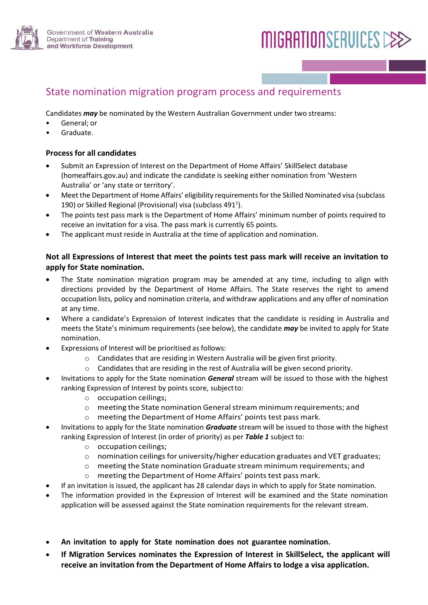

# **MIGRATIONSERVICES CEE**

# State nomination migration program process and requirements

Candidates *may* be nominated by the Western Australian Government under two streams:

- General: or
- Graduate.

#### **Process for all candidates**

- Submit an Expression of Interest on the Department of Home Affairs' SkillSelect database [\(homeaffairs.gov.au\)](http://www.homeaffairs.gov.au/) and indicate the candidate is seeking either nomination from ʻWestern Australia' or ʻany state or territory'.
- Meet the Department of Home Affairs' eligibility requirements for the Skilled Nominated visa (subclass 190) or Skilled Regional (Provisional) visa (subclass 491<sup>1</sup>).
- The points test pass mark is the Department of Home Affairs' minimum number of points required to receive an invitation for a visa. The pass mark is currently 65 points.
- The applicant must reside in Australia at the time of application and nomination.

# **Not all Expressions of Interest that meet the points test pass mark will receive an invitation to apply for State nomination.**

- The State nomination migration program may be amended at any time, including to align with directions provided by the Department of Home Affairs. The State reserves the right to amend occupation lists, policy and nomination criteria, and withdraw applications and any offer of nomination at any time.
- Where a candidate's Expression of Interest indicates that the candidate is residing in Australia and meets the State's minimum requirements (see below), the candidate *may* be invited to apply for State nomination.
- Expressions of Interest will be prioritised as follows:
	- o Candidates that are residing in Western Australia will be given first priority.
	- $\circ$  Candidates that are residing in the rest of Australia will be given second priority.
- Invitations to apply for the State nomination *General* stream will be issued to those with the highest ranking Expression of Interest by points score, subjectto:
	- o occupation ceilings;
	- $\circ$  meeting the State nomination General stream minimum requirements; and
	- o meeting the Department of Home Affairs' points test pass mark.
- Invitations to apply for the State nomination *Graduate* stream will be issued to those with the highest ranking Expression of Interest (in order of priority) as per *Table 1* subject to:
	- o occupation ceilings;
	- $\circ$  nomination ceilings for university/higher education graduates and VET graduates;
	- o meeting the State nomination Graduate stream minimum requirements; and
	- o meeting the Department of Home Affairs' points test pass mark.
- If an invitation is issued, the applicant has 28 calendar days in which to apply for State nomination.
- The information provided in the Expression of Interest will be examined and the State nomination application will be assessed against the State nomination requirements for the relevant stream.
- **An invitation to apply for State nomination does not guarantee nomination.**
- **If Migration Services nominates the Expression of Interest in SkillSelect, the applicant will receive an invitation from the Department of Home Affairs to lodge a visa application.**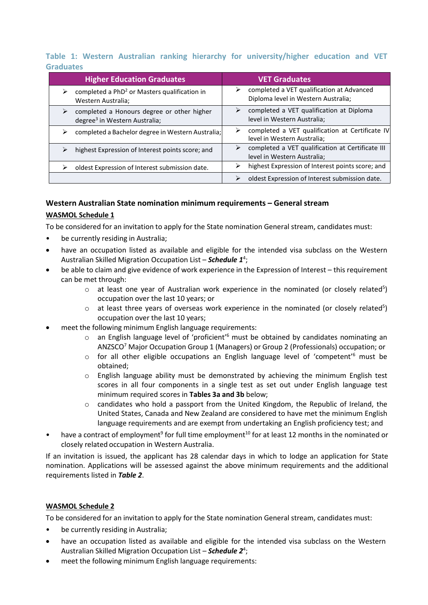# **Table 1: Western Australian ranking hierarchy for university/higher education and VET Graduates**

| <b>Higher Education Graduates</b>                                                            | <b>VET Graduates</b>                                                                  |
|----------------------------------------------------------------------------------------------|---------------------------------------------------------------------------------------|
| completed a PhD <sup>2</sup> or Masters qualification in<br>⋗<br>Western Australia;          | completed a VET qualification at Advanced<br>➤<br>Diploma level in Western Australia; |
| completed a Honours degree or other higher<br>➤<br>degree <sup>3</sup> in Western Australia; | completed a VET qualification at Diploma<br>⋗<br>level in Western Australia;          |
| completed a Bachelor degree in Western Australia;                                            | completed a VET qualification at Certificate IV<br>⋗<br>level in Western Australia;   |
| highest Expression of Interest points score; and                                             | completed a VET qualification at Certificate III<br>➤<br>level in Western Australia;  |
| oldest Expression of Interest submission date.                                               | highest Expression of Interest points score; and                                      |
|                                                                                              | oldest Expression of Interest submission date.                                        |

# **Western Australian State nomination minimum requirements – General stream WASMOL Schedule 1**

To be considered for an invitation to apply for the State nomination General stream, candidates must:

- be currently residing in Australia;
- have an occupation listed as available and eligible for the intended visa subclass on the Western Australian Skilled Migration Occupation List – *Schedule 1*<sup>4</sup> ;
- be able to claim and give evidence of work experience in the Expression of Interest this requirement can be met through:
	- $\circ$  at least one year of Australian work experience in the nominated (or closely related<sup>5</sup>) occupation over the last 10 years; or
	- $\circ$  at least three years of overseas work experience in the nominated (or closely related<sup>5</sup>) occupation over the last 10 years;
- meet the following minimum English language requirements:
	- o an English language level of 'proficient'6 must be obtained by candidates nominating an ANZSCO7 Major Occupation Group 1 (Managers) or Group 2 (Professionals) occupation; or
	- $\circ$  for all other eligible occupations an English language level of 'competent'<sup>6</sup> must be obtained;
	- o English language ability must be demonstrated by achieving the minimum English test scores in all four components in a single test as set out under English language test minimum required scores in **Tables 3a and 3b** below;
	- o candidates who hold a passport from the United Kingdom, the Republic of Ireland, the United States, Canada and New Zealand are considered to have met the minimum English language requirements and are exempt from undertaking an English proficiency test; and
- have a contract of employment<sup>9</sup> for full time employment<sup>10</sup> for at least 12 months in the nominated or closely related occupation in Western Australia.

If an invitation is issued, the applicant has 28 calendar days in which to lodge an application for State nomination. Applications will be assessed against the above minimum requirements and the additional requirements listed in *Table 2*.

# **WASMOL Schedule 2**

To be considered for an invitation to apply for the State nomination General stream, candidates must:

- be currently residing in Australia;
- have an occupation listed as available and eligible for the intended visa subclass on the Western Australian Skilled Migration Occupation List - **Schedule 2**<sup>4</sup>;
- meet the following minimum English language requirements: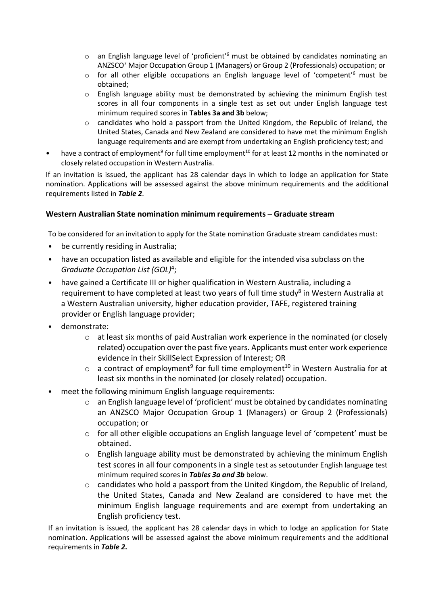- $\circ$  an English language level of 'proficient'<sup>6</sup> must be obtained by candidates nominating an ANZSCO7 Major Occupation Group 1 (Managers) or Group 2 (Professionals) occupation; or
- $\circ$  for all other eligible occupations an English language level of 'competent'<sup>6</sup> must be obtained;
- o English language ability must be demonstrated by achieving the minimum English test scores in all four components in a single test as set out under English language test minimum required scores in **Tables 3a and 3b** below;
- $\circ$  candidates who hold a passport from the United Kingdom, the Republic of Ireland, the United States, Canada and New Zealand are considered to have met the minimum English language requirements and are exempt from undertaking an English proficiency test; and
- have a contract of employment<sup>9</sup> for full time employment<sup>10</sup> for at least 12 months in the nominated or closely related occupation in Western Australia.

If an invitation is issued, the applicant has 28 calendar days in which to lodge an application for State nomination. Applications will be assessed against the above minimum requirements and the additional requirements listed in *Table 2*.

# **Western Australian State nomination minimum requirements – Graduate stream**

To be considered for an invitation to apply for the State nomination Graduate stream candidates must:

- be currently residing in Australia;
- have an occupation listed as available and eligible for the intended visa subclass on the *Graduate Occupation List (GOL)*4;
- have gained a Certificate III or higher qualification in Western Australia, including a requirement to have completed at least two years of full time study<sup>8</sup> in Western Australia at a Western Australian university, higher education provider, TAFE, registered training provider or English language provider;
- demonstrate:
	- o at least six months of paid Australian work experience in the nominated (or closely related) occupation over the past five years. Applicants must enter work experience evidence in their SkillSelect Expression of Interest; OR
	- $\circ$  a contract of employment<sup>9</sup> for full time employment<sup>10</sup> in Western Australia for at least six months in the nominated (or closely related) occupation.
- meet the following minimum English language requirements:
	- $\circ$  an English language level of 'proficient' must be obtained by candidates nominating an ANZSCO Major Occupation Group 1 (Managers) or Group 2 (Professionals) occupation; or
	- o for all other eligible occupations an English language level of 'competent' must be obtained.
	- $\circ$  English language ability must be demonstrated by achieving the minimum English test scores in all four components in a single test as setoutunder English language test minimum required scores in *Tables 3a and 3b* below.
	- $\circ$  candidates who hold a passport from the United Kingdom, the Republic of Ireland, the United States, Canada and New Zealand are considered to have met the minimum English language requirements and are exempt from undertaking an English proficiency test.

If an invitation is issued, the applicant has 28 calendar days in which to lodge an application for State nomination. Applications will be assessed against the above minimum requirements and the additional requirements in *Table 2***.**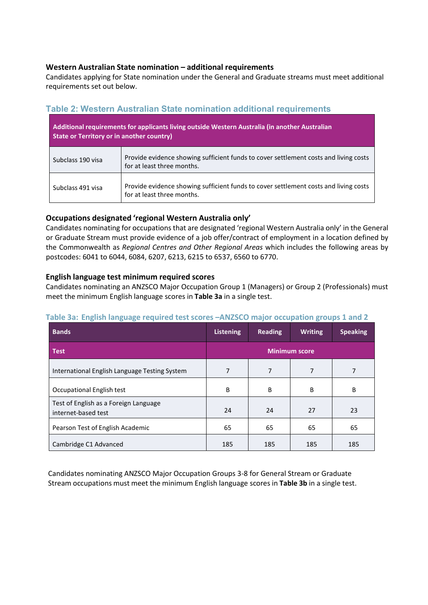# **Western Australian State nomination – additional requirements**

Candidates applying for State nomination under the General and Graduate streams must meet additional requirements set out below.

# **Table 2: Western Australian State nomination additional requirements**

| Additional requirements for applicants living outside Western Australia (in another Australian<br>State or Territory or in another country) |                                                                                                                    |  |  |  |
|---------------------------------------------------------------------------------------------------------------------------------------------|--------------------------------------------------------------------------------------------------------------------|--|--|--|
| Subclass 190 visa                                                                                                                           | Provide evidence showing sufficient funds to cover settlement costs and living costs<br>for at least three months. |  |  |  |
| Subclass 491 visa                                                                                                                           | Provide evidence showing sufficient funds to cover settlement costs and living costs<br>for at least three months. |  |  |  |

# **Occupations designated 'regional Western Australia only'**

Candidates nominating for occupations that are designated 'regional Western Australia only' in the General or Graduate Stream must provide evidence of a job offer/contract of employment in a location defined by the Commonwealth as *Regional Centres and Other Regional Areas* which includes the following areas by postcodes: 6041 to 6044, 6084, 6207, 6213, 6215 to 6537, 6560 to 6770.

# **English language test minimum required scores**

Candidates nominating an ANZSCO Major Occupation Group 1 (Managers) or Group 2 (Professionals) must meet the minimum English language scores in **Table 3a** in a single test.

# **Bands Listening Reading Writing Speaking Test Minimum score** International English Language Testing System 7 7 7 7 Occupational English test **B** B B B B B B Test of English as a Foreign Language internet-based test 24 24 27 23 Pearson Test of English Academic **65** 65 65 65 65 65 Cambridge C1 Advanced 185 185 185 185 185

# **Table 3a: English language required test scores –ANZSCO major occupation groups 1 and 2**

Candidates nominating ANZSCO Major Occupation Groups 3-8 for General Stream or Graduate Stream occupations must meet the minimum English language scores in **Table 3b** in a single test.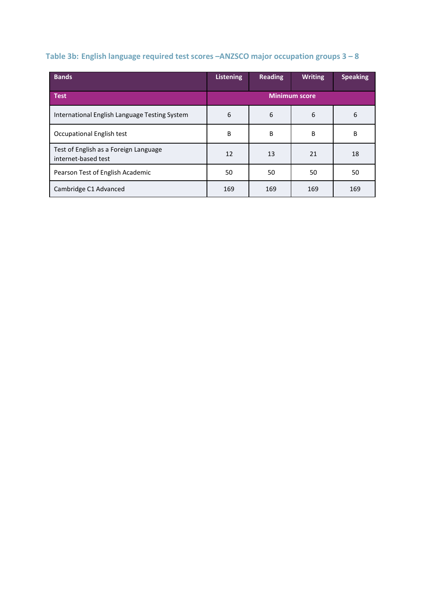# **Table 3b: English language required test scores –ANZSCO major occupation groups 3 – 8**

| <b>Bands</b>                                                 | <b>Listening</b>     | <b>Reading</b> | <b>Writing</b> | <b>Speaking</b> |
|--------------------------------------------------------------|----------------------|----------------|----------------|-----------------|
| <b>Test</b>                                                  | <b>Minimum score</b> |                |                |                 |
| International English Language Testing System                | 6                    | 6              | 6              | 6               |
| Occupational English test                                    | B                    | B              | B              | B               |
| Test of English as a Foreign Language<br>internet-based test | 12                   | 13             | 21             | 18              |
| Pearson Test of English Academic                             | 50                   | 50             | 50             | 50              |
| Cambridge C1 Advanced                                        | 169                  | 169            | 169            | 169             |